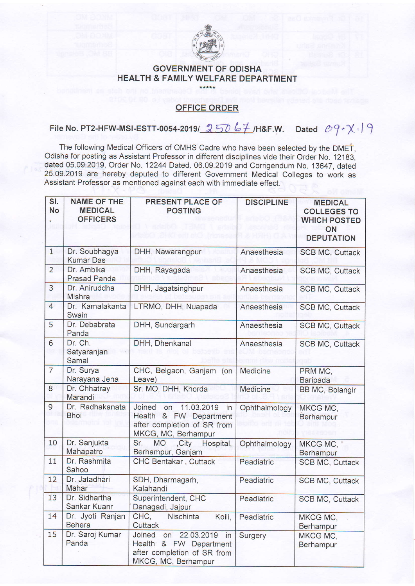

## GOVERNMENT OF ODISHA HEALTH & FAMILY WELFARE DEPARTMENT

## OFFICE ORDER

## File No. PT2-HFW-MSI-ESTT-0054-2019/  $250 b7$  /H&F.W. Dated  $0.9 - X.19$

The following Medical Officers of OMHS Cadre who have been selected by the DMET, Odisha for posting as Assistant Professor in different disciplines vide their Order No. 12183, dated 05.09.2019, Order No. 12244 Dated.06.09.2019 and Corrigendum No. 13647, dared 25.09.2019 are hereby deputed to different Government Medical Colleges to work as Assistant Professor as mentioned aqainst each with immediate effect.

| SI.<br><b>No</b> | <b>NAME OF THE</b><br><b>MEDICAL</b><br><b>OFFICERS</b> | PRESENT PLACE OF<br><b>POSTING</b>                                                                               | <b>DISCIPLINE</b> | <b>MEDICAL</b><br><b>COLLEGES TO</b><br><b>WHICH POSTED</b><br>ON<br><b>DEPUTATION</b> |
|------------------|---------------------------------------------------------|------------------------------------------------------------------------------------------------------------------|-------------------|----------------------------------------------------------------------------------------|
| $\mathbf{1}$     | Dr. Soubhagya<br><b>Kumar Das</b>                       | DHH, Nawarangpur                                                                                                 | Anaesthesia       | <b>SCB MC, Cuttack</b>                                                                 |
| $\overline{2}$   | Dr. Ambika<br><b>Prasad Panda</b>                       | DHH, Rayagada                                                                                                    | Anaesthesia       | <b>SCB MC, Cuttack</b>                                                                 |
| $\overline{3}$   | Dr. Aniruddha<br><b>Mishra</b>                          | DHH, Jagatsinghpur                                                                                               | Anaesthesia       | SCB MC, Cuttack                                                                        |
| $\overline{4}$   | Dr. Kamalakanta<br>Swain                                | LTRMO, DHH, Nuapada                                                                                              | Anaesthesia       | <b>SCB MC, Cuttack</b>                                                                 |
| 5                | Dr. Debabrata<br>Panda                                  | DHH, Sundargarh                                                                                                  | Anaesthesia       | SCB MC, Cuttack                                                                        |
| 6                | Dr. Ch.<br>Satyaranjan<br>Samal                         | DHH, Dhenkanal                                                                                                   | Anaesthesia       | <b>SCB MC, Cuttack</b>                                                                 |
| $\overline{7}$   | Dr. Surya<br>Narayana Jena                              | CHC, Belgaon, Ganjam (on<br>Leave)                                                                               | Medicine          | PRM MC.<br><b>Baripada</b>                                                             |
| 8                | Dr. Chhatray<br>Marandi                                 | Sr. MO, DHH, Khorda                                                                                              | Medicine          | BB MC, Bolangir                                                                        |
| 9                | Dr. Radhakanata<br><b>Bhoi</b>                          | Joined<br>on<br>11.03.2019<br>in<br>Health & FW Department<br>after completion of SR from<br>MKCG, MC, Berhampur | Ophthalmology     | MKCG MC,<br>Berhampur                                                                  |
| 10               | Dr. Sanjukta<br>Mahapatro                               | Sr.<br><b>MO</b><br>, City<br>Hospital,<br>Berhampur, Ganjam                                                     | Ophthalmology     | MKCG MC.<br>Berhampur                                                                  |
| 11               | Dr. Rashmita<br>Sahoo                                   | CHC Bentakar, Cuttack                                                                                            | Peadiatric        | SCB MC, Cuttack                                                                        |
| 12               | Dr. Jatadhari<br>Mahar                                  | SDH, Dharmagarh,<br>Kalahandi                                                                                    | Peadiatric        | SCB MC, Cuttack                                                                        |
| 13               | Dr. Sidhartha<br>Sankar Kuanr                           | Superintendent, CHC<br>Danagadi, Jajpur                                                                          | Peadiatric        | SCB MC, Cuttack                                                                        |
| 14               | Dr. Jyoti Ranjan<br><b>Behera</b>                       | CHC,<br>Koili,<br>Nischinta<br>Cuttack                                                                           | Peadiatric        | MKCG MC,<br>Berhampur                                                                  |
| 15               | Dr. Saroj Kumar<br>Panda                                | Joined<br>on 22.03.2019<br>in<br>Health & FW Department<br>after completion of SR from<br>MKCG, MC, Berhampur    | Surgery           | MKCG MC,<br>Berhampur                                                                  |